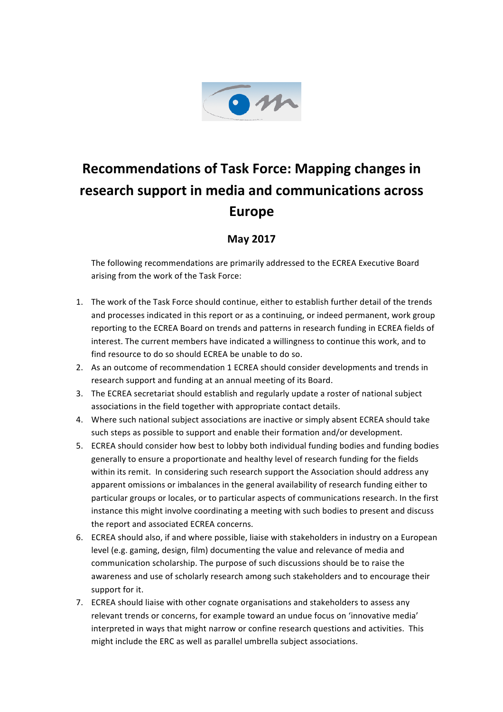

## **Recommendations of Task Force: Mapping changes in research support in media and communications across Europe**

## **May 2017**

The following recommendations are primarily addressed to the ECREA Executive Board arising from the work of the Task Force:

- 1. The work of the Task Force should continue, either to establish further detail of the trends and processes indicated in this report or as a continuing, or indeed permanent, work group reporting to the ECREA Board on trends and patterns in research funding in ECREA fields of interest. The current members have indicated a willingness to continue this work, and to find resource to do so should ECREA be unable to do so.
- 2. As an outcome of recommendation 1 ECREA should consider developments and trends in research support and funding at an annual meeting of its Board.
- 3. The ECREA secretariat should establish and regularly update a roster of national subject associations in the field together with appropriate contact details.
- 4. Where such national subject associations are inactive or simply absent ECREA should take such steps as possible to support and enable their formation and/or development.
- 5. ECREA should consider how best to lobby both individual funding bodies and funding bodies generally to ensure a proportionate and healthy level of research funding for the fields within its remit. In considering such research support the Association should address any apparent omissions or imbalances in the general availability of research funding either to particular groups or locales, or to particular aspects of communications research. In the first instance this might involve coordinating a meeting with such bodies to present and discuss the report and associated ECREA concerns.
- 6. ECREA should also, if and where possible, liaise with stakeholders in industry on a European level (e.g. gaming, design, film) documenting the value and relevance of media and communication scholarship. The purpose of such discussions should be to raise the awareness and use of scholarly research among such stakeholders and to encourage their support for it.
- 7. ECREA should liaise with other cognate organisations and stakeholders to assess any relevant trends or concerns, for example toward an undue focus on 'innovative media' interpreted in ways that might narrow or confine research questions and activities. This might include the ERC as well as parallel umbrella subject associations.